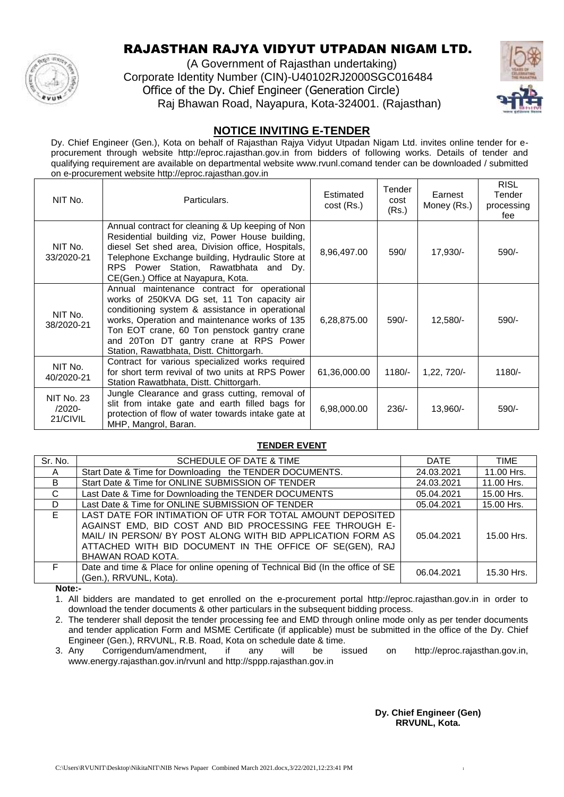

# RAJASTHAN RAJYA VIDYUT UTPADAN NIGAM LTD.

(A Government of Rajasthan undertaking) Corporate Identity Number (CIN)-U40102RJ2000SGC016484 Office of the Dy. Chief Engineer (Generation Circle) Raj Bhawan Road, Nayapura, Kota-324001. (Rajasthan)



### **NOTICE INVITING E-TENDER**

Dy. Chief Engineer (Gen.), Kota on behalf of Rajasthan Rajya Vidyut Utpadan Nigam Ltd. invites online tender for eprocurement through website http://eproc.rajasthan.gov.in from bidders of following works. Details of tender and qualifying requirement are available on departmental website www.rvunl.comand tender can be downloaded / submitted on e-procurement website http://eproc.rajasthan.gov.in

| NIT No.                                    | Particulars.                                                                                                                                                                                                                                                                                                                        | Estimated<br>$cost$ (Rs.) | Tender<br>cost<br>(Rs.) | Earnest<br>Money (Rs.) | RISL<br>Tender<br>processing<br>fee |
|--------------------------------------------|-------------------------------------------------------------------------------------------------------------------------------------------------------------------------------------------------------------------------------------------------------------------------------------------------------------------------------------|---------------------------|-------------------------|------------------------|-------------------------------------|
| NIT No.<br>33/2020-21                      | Annual contract for cleaning & Up keeping of Non<br>Residential building viz, Power House building,<br>diesel Set shed area, Division office, Hospitals,<br>Telephone Exchange building, Hydraulic Store at<br>RPS Power Station, Rawatbhata and Dy.<br>CE(Gen.) Office at Nayapura, Kota.                                          | 8,96,497.00               | 590/                    | 17,930/-               | 590/-                               |
| NIT No.<br>38/2020-21                      | Annual maintenance contract for operational<br>works of 250KVA DG set, 11 Ton capacity air<br>conditioning system & assistance in operational<br>works, Operation and maintenance works of 135<br>Ton EOT crane, 60 Ton penstock gantry crane<br>and 20Ton DT gantry crane at RPS Power<br>Station, Rawatbhata, Distt. Chittorgarh. | 6,28,875.00               | $590/-$                 | $12,580/-$             | 590/-                               |
| NIT No.<br>40/2020-21                      | Contract for various specialized works required<br>for short term revival of two units at RPS Power<br>Station Rawatbhata, Distt. Chittorgarh.                                                                                                                                                                                      | 61,36,000.00              | $1180/-$                | $1,22,720/-$           | $1180/-$                            |
| <b>NIT No. 23</b><br>$/2020 -$<br>21/CIVIL | Jungle Clearance and grass cutting, removal of<br>slit from intake gate and earth filled bags for<br>protection of flow of water towards intake gate at<br>MHP, Mangrol, Baran.                                                                                                                                                     | 6,98,000.00               | $236/-$                 | 13,960/-               | 590/-                               |

#### **TENDER EVENT**

| Sr. No.      | SCHEDULE OF DATE & TIME                                                                                                                                                                                                                                               | <b>DATE</b> | TIME       |
|--------------|-----------------------------------------------------------------------------------------------------------------------------------------------------------------------------------------------------------------------------------------------------------------------|-------------|------------|
| $\mathsf{A}$ | Start Date & Time for Downloading the TENDER DOCUMENTS.                                                                                                                                                                                                               | 24.03.2021  | 11.00 Hrs. |
| B            | Start Date & Time for ONLINE SUBMISSION OF TENDER                                                                                                                                                                                                                     | 24.03.2021  | 11.00 Hrs. |
| C            | Last Date & Time for Downloading the TENDER DOCUMENTS                                                                                                                                                                                                                 | 05.04.2021  | 15.00 Hrs. |
| D            | Last Date & Time for ONLINE SUBMISSION OF TENDER                                                                                                                                                                                                                      | 05.04.2021  | 15.00 Hrs. |
| E.           | LAST DATE FOR INTIMATION OF UTR FOR TOTAL AMOUNT DEPOSITED<br>AGAINST EMD, BID COST AND BID PROCESSING FEE THROUGH E-<br>MAIL/ IN PERSON/ BY POST ALONG WITH BID APPLICATION FORM AS<br>ATTACHED WITH BID DOCUMENT IN THE OFFICE OF SE(GEN), RAJ<br>BHAWAN ROAD KOTA. | 05.04.2021  | 15.00 Hrs. |
| F.           | Date and time & Place for online opening of Technical Bid (In the office of SE<br>(Gen.), RRVUNL, Kota).                                                                                                                                                              | 06.04.2021  | 15.30 Hrs. |

**Note:-**

1. All bidders are mandated to get enrolled on the e-procurement portal http://eproc.rajasthan.gov.in in order to download the tender documents & other particulars in the subsequent bidding process.

2. The tenderer shall deposit the tender processing fee and EMD through online mode only as per tender documents and tender application Form and MSME Certificate (if applicable) must be submitted in the office of the Dy. Chief Engineer (Gen.), RRVUNL, R.B. Road, Kota on schedule date & time.<br>Any Corrigendum/amendment, if any will be is

3. Any Corrigendum/amendment, if any will be issued on http://eproc.rajasthan.gov.in, www.energy.rajasthan.gov.in/rvunl and http://sppp.rajasthan.gov.in

> **Dy. Chief Engineer (Gen) RRVUNL, Kota.**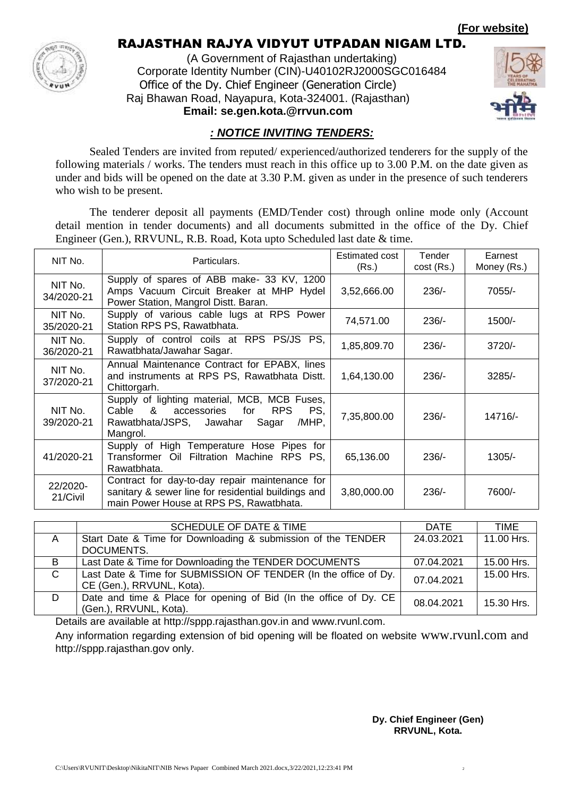**(For website)**



## RAJASTHAN RAJYA VIDYUT UTPADAN NIGAM LTD.

(A Government of Rajasthan undertaking) Corporate Identity Number (CIN)-U40102RJ2000SGC016484 Office of the Dy. Chief Engineer (Generation Circle) Raj Bhawan Road, Nayapura, Kota-324001. (Rajasthan) **Email: se.gen.kota.@rrvun.com**



## *: NOTICE INVITING TENDERS:*

Sealed Tenders are invited from reputed/ experienced/authorized tenderers for the supply of the following materials / works. The tenders must reach in this office up to 3.00 P.M. on the date given as under and bids will be opened on the date at 3.30 P.M. given as under in the presence of such tenderers who wish to be present.

The tenderer deposit all payments (EMD/Tender cost) through online mode only (Account detail mention in tender documents) and all documents submitted in the office of the Dy. Chief Engineer (Gen.), RRVUNL, R.B. Road, Kota upto Scheduled last date & time.

| NIT No.               | Particulars.                                                                                                                                                 | Estimated cost<br>(Rs.) | Tender<br>$cost$ (Rs.) | Earnest<br>Money (Rs.) |
|-----------------------|--------------------------------------------------------------------------------------------------------------------------------------------------------------|-------------------------|------------------------|------------------------|
| NIT No.<br>34/2020-21 | Supply of spares of ABB make- 33 KV, 1200<br>Amps Vacuum Circuit Breaker at MHP Hydel<br>Power Station, Mangrol Distt. Baran.                                | 3,52,666.00             | $236/-$                | 7055/-                 |
| NIT No.<br>35/2020-21 | Supply of various cable lugs at RPS Power<br>Station RPS PS, Rawatbhata.                                                                                     | 74,571.00               | $236/-$                | 1500/-                 |
| NIT No.<br>36/2020-21 | Supply of control coils at RPS PS/JS<br>PS,<br>Rawatbhata/Jawahar Sagar.                                                                                     | 1,85,809.70             | $236/-$                | $3720/-$               |
| NIT No.<br>37/2020-21 | Annual Maintenance Contract for EPABX, lines<br>and instruments at RPS PS, Rawatbhata Distt.<br>Chittorgarh.                                                 | 1,64,130.00             | $236/-$                | $3285/-$               |
| NIT No.<br>39/2020-21 | Supply of lighting material, MCB, MCB Fuses,<br>Cable &<br>for<br><b>RPS</b><br>PS,<br>accessories<br>Rawatbhata/JSPS, Jawahar<br>Sagar<br>/MHP,<br>Mangrol. | 7,35,800.00             | $236/-$                | 14716/-                |
| 41/2020-21            | Supply of High Temperature Hose Pipes for<br>Transformer Oil Filtration Machine RPS PS,<br>Rawatbhata.                                                       | 65,136.00               | $236/-$                | $1305/-$               |
| 22/2020-<br>21/Civil  | Contract for day-to-day repair maintenance for<br>sanitary & sewer line for residential buildings and<br>main Power House at RPS PS, Rawatbhata.             | 3,80,000.00             | $236/-$                | 7600/-                 |

|              | <b>SCHEDULE OF DATE &amp; TIME</b>                                | <b>DATE</b> | TIME       |
|--------------|-------------------------------------------------------------------|-------------|------------|
| A            | Start Date & Time for Downloading & submission of the TENDER      | 24.03.2021  | 11.00 Hrs. |
|              | DOCUMENTS.                                                        |             |            |
| B            | Last Date & Time for Downloading the TENDER DOCUMENTS             | 07.04.2021  | 15.00 Hrs. |
| $\mathsf{C}$ | Last Date & Time for SUBMISSION OF TENDER (In the office of Dy.   | 07.04.2021  | 15.00 Hrs. |
|              | CE (Gen.), RRVUNL, Kota).                                         |             |            |
| D            | Date and time & Place for opening of Bid (In the office of Dy. CE | 08.04.2021  | 15.30 Hrs. |
|              | (Gen.), RRVUNL, Kota).                                            |             |            |
|              | .                                                                 |             |            |

Details are available at http://sppp.rajasthan.gov.in and www.rvunl.com.

Any information regarding extension of bid opening will be floated on website www.rvunl.com and http://sppp.rajasthan.gov only.